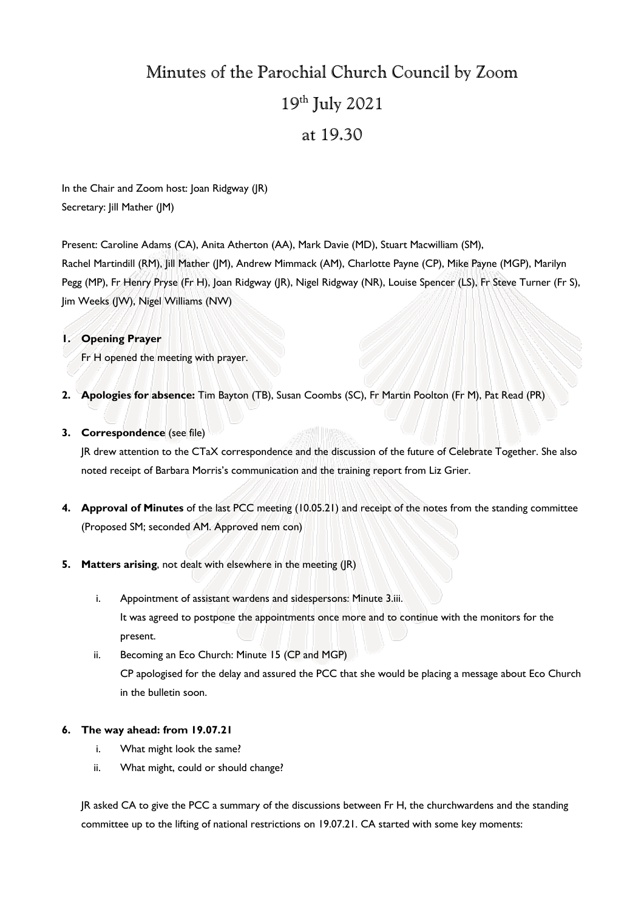# Minutes of the Parochial Church Council by Zoom 19th July 2021

# at 19.30

In the Chair and Zoom host: Joan Ridgway (JR) Secretary: Jill Mather (JM)

Present: Caroline Adams (CA), Anita Atherton (AA), Mark Davie (MD), Stuart Macwilliam (SM), Rachel Martindill (RM), Jill Mather (JM), Andrew Mimmack (AM), Charlotte Payne (CP), Mike Payne (MGP), Marilyn Pegg (MP), Fr Henry Pryse (Fr H), Joan Ridgway (JR), Nigel Ridgway (NR), Louise Spencer (LS), Fr Steve Turner (Fr S), Jim Weeks (JW), Nigel Williams (NW)

### **1. Opening Prayer**

Fr H opened the meeting with prayer.

**2. Apologies for absence:** Tim Bayton (TB), Susan Coombs (SC), Fr Martin Poolton (Fr M), Pat Read (PR)

### **3. Correspondence** (see file)

JR drew attention to the CTaX correspondence and the discussion of the future of Celebrate Together. She also noted receipt of Barbara Morris's communication and the training report from Liz Grier.

- **4. Approval of Minutes** of the last PCC meeting (10.05.21) and receipt of the notes from the standing committee (Proposed SM; seconded AM. Approved nem con)
- **5. Matters arising**, not dealt with elsewhere in the meeting (JR)
	- i. Appointment of assistant wardens and sidespersons: Minute 3.iii. It was agreed to postpone the appointments once more and to continue with the monitors for the present.
	- ii. Becoming an Eco Church: Minute 15 (CP and MGP) CP apologised for the delay and assured the PCC that she would be placing a message about Eco Church in the bulletin soon.

### **6. The way ahead: from 19.07.21**

- i. What might look the same?
- ii. What might, could or should change?

JR asked CA to give the PCC a summary of the discussions between Fr H, the churchwardens and the standing committee up to the lifting of national restrictions on 19.07.21. CA started with some key moments: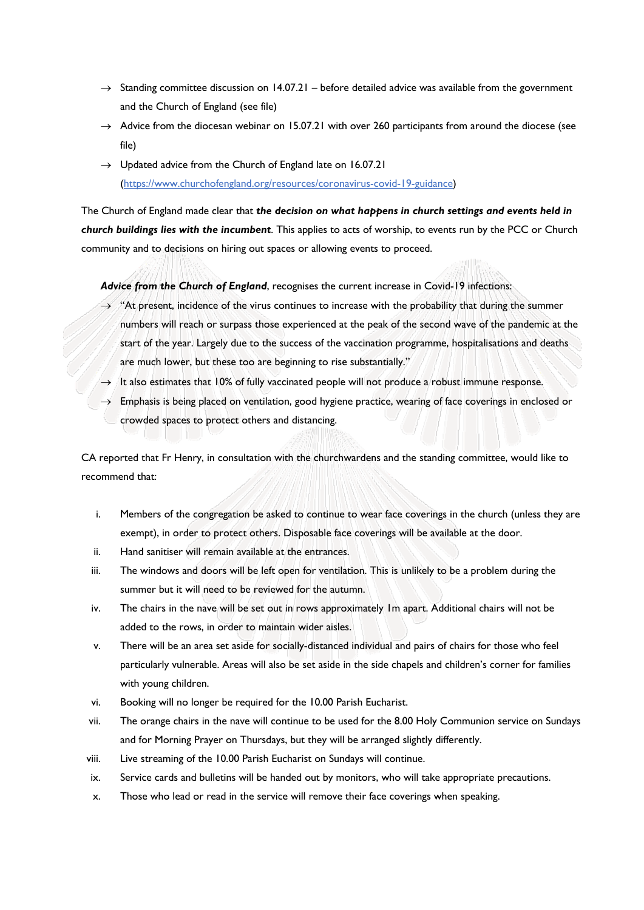- $\rightarrow$  Standing committee discussion on 14.07.21 before detailed advice was available from the government and the Church of England (see file)
- $\rightarrow$  Advice from the diocesan webinar on 15.07.21 with over 260 participants from around the diocese (see file)
- $\rightarrow$  Updated advice from the Church of England late on 16.07.21 (https://www.churchofengland.org/resources/coronavirus-covid-19-guidance)

The Church of England made clear that *the decision on what happens in church settings and events held in church buildings lies with the incumbent*. This applies to acts of worship, to events run by the PCC or Church community and to decisions on hiring out spaces or allowing events to proceed.

*Advice from the Church of England*, recognises the current increase in Covid-19 infections:

- $\rightarrow$  "At present, incidence of the virus continues to increase with the probability that during the summer numbers will reach or surpass those experienced at the peak of the second wave of the pandemic at the start of the year. Largely due to the success of the vaccination programme, hospitalisations and deaths are much lower, but these too are beginning to rise substantially."
- $\rightarrow$  It also estimates that 10% of fully vaccinated people will not produce a robust immune response.
- $\rightarrow$  Emphasis is being placed on ventilation, good hygiene practice, wearing of face coverings in enclosed or crowded spaces to protect others and distancing.

CA reported that Fr Henry, in consultation with the churchwardens and the standing committee, would like to recommend that:

- i. Members of the congregation be asked to continue to wear face coverings in the church (unless they are exempt), in order to protect others. Disposable face coverings will be available at the door.
- ii. Hand sanitiser will remain available at the entrances.
- iii. The windows and doors will be left open for ventilation. This is unlikely to be a problem during the summer but it will need to be reviewed for the autumn.
- iv. The chairs in the nave will be set out in rows approximately 1m apart. Additional chairs will not be added to the rows, in order to maintain wider aisles.
- v. There will be an area set aside for socially-distanced individual and pairs of chairs for those who feel particularly vulnerable. Areas will also be set aside in the side chapels and children's corner for families with young children.
- vi. Booking will no longer be required for the 10.00 Parish Eucharist.
- vii. The orange chairs in the nave will continue to be used for the 8.00 Holy Communion service on Sundays and for Morning Prayer on Thursdays, but they will be arranged slightly differently.
- viii. Live streaming of the 10.00 Parish Eucharist on Sundays will continue.
- ix. Service cards and bulletins will be handed out by monitors, who will take appropriate precautions.
- x. Those who lead or read in the service will remove their face coverings when speaking.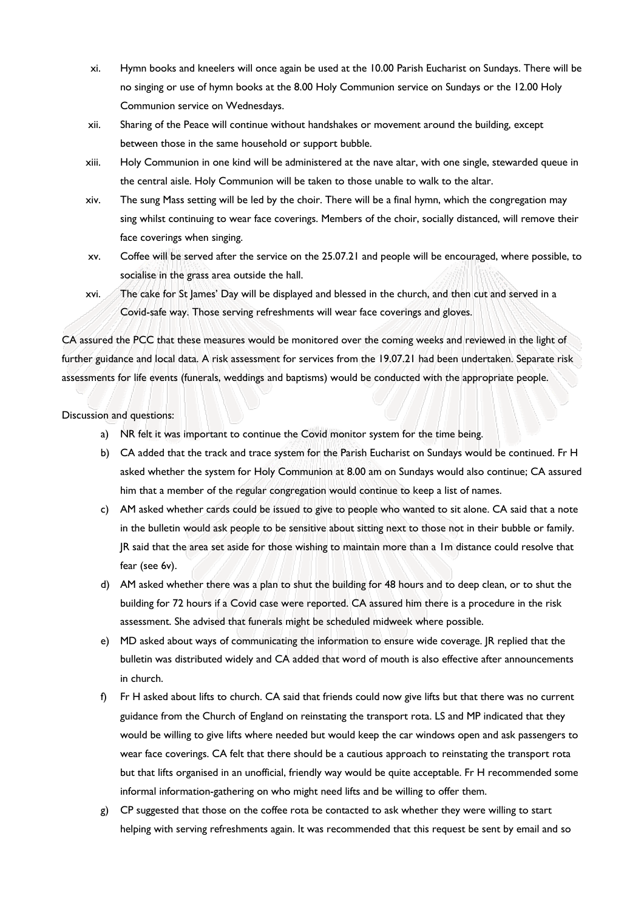- xi. Hymn books and kneelers will once again be used at the 10.00 Parish Eucharist on Sundays. There will be no singing or use of hymn books at the 8.00 Holy Communion service on Sundays or the 12.00 Holy Communion service on Wednesdays.
- xii. Sharing of the Peace will continue without handshakes or movement around the building, except between those in the same household or support bubble.
- xiii. Holy Communion in one kind will be administered at the nave altar, with one single, stewarded queue in the central aisle. Holy Communion will be taken to those unable to walk to the altar.
- xiv. The sung Mass setting will be led by the choir. There will be a final hymn, which the congregation may sing whilst continuing to wear face coverings. Members of the choir, socially distanced, will remove their face coverings when singing.
- xv. Coffee will be served after the service on the 25.07.21 and people will be encouraged, where possible, to socialise in the grass area outside the hall.
- xvi. The cake for St James' Day will be displayed and blessed in the church, and then cut and served in a Covid-safe way. Those serving refreshments will wear face coverings and gloves.

CA assured the PCC that these measures would be monitored over the coming weeks and reviewed in the light of further guidance and local data. A risk assessment for services from the 19.07.21 had been undertaken. Separate risk assessments for life events (funerals, weddings and baptisms) would be conducted with the appropriate people.

#### Discussion and questions:

- a) NR felt it was important to continue the Covid monitor system for the time being.
- b) CA added that the track and trace system for the Parish Eucharist on Sundays would be continued. Fr H asked whether the system for Holy Communion at 8.00 am on Sundays would also continue; CA assured him that a member of the regular congregation would continue to keep a list of names.
- c) AM asked whether cards could be issued to give to people who wanted to sit alone. CA said that a note in the bulletin would ask people to be sensitive about sitting next to those not in their bubble or family. JR said that the area set aside for those wishing to maintain more than a 1m distance could resolve that fear (see 6v).
- d) AM asked whether there was a plan to shut the building for 48 hours and to deep clean, or to shut the building for 72 hours if a Covid case were reported. CA assured him there is a procedure in the risk assessment. She advised that funerals might be scheduled midweek where possible.
- e) MD asked about ways of communicating the information to ensure wide coverage. JR replied that the bulletin was distributed widely and CA added that word of mouth is also effective after announcements in church.
- f) Fr H asked about lifts to church. CA said that friends could now give lifts but that there was no current guidance from the Church of England on reinstating the transport rota. LS and MP indicated that they would be willing to give lifts where needed but would keep the car windows open and ask passengers to wear face coverings. CA felt that there should be a cautious approach to reinstating the transport rota but that lifts organised in an unofficial, friendly way would be quite acceptable. Fr H recommended some informal information-gathering on who might need lifts and be willing to offer them.
- g) CP suggested that those on the coffee rota be contacted to ask whether they were willing to start helping with serving refreshments again. It was recommended that this request be sent by email and so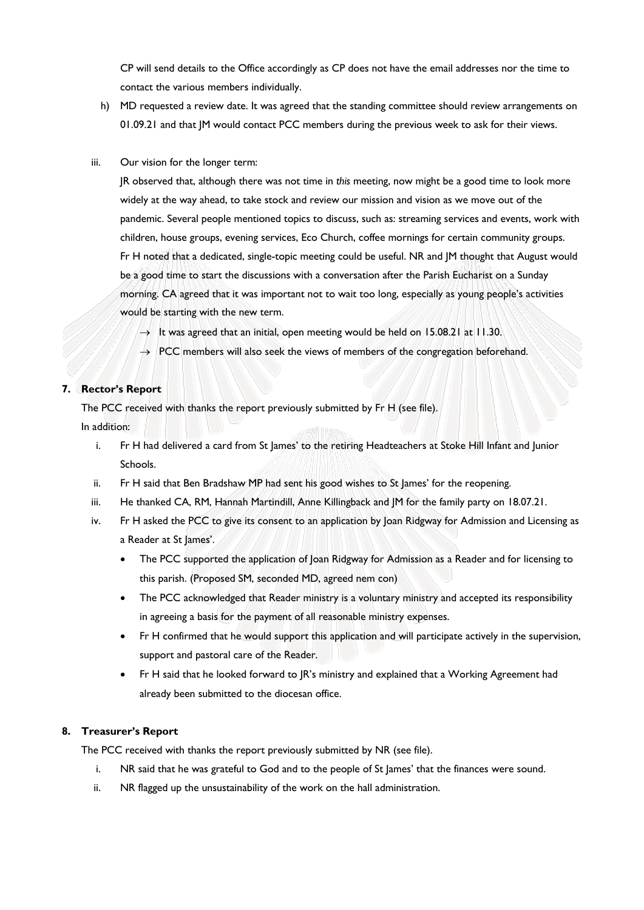CP will send details to the Office accordingly as CP does not have the email addresses nor the time to contact the various members individually.

- h) MD requested a review date. It was agreed that the standing committee should review arrangements on 01.09.21 and that JM would contact PCC members during the previous week to ask for their views.
- iii. Our vision for the longer term:

JR observed that, although there was not time in *this* meeting, now might be a good time to look more widely at the way ahead, to take stock and review our mission and vision as we move out of the pandemic. Several people mentioned topics to discuss, such as: streaming services and events, work with children, house groups, evening services, Eco Church, coffee mornings for certain community groups. Fr H noted that a dedicated, single-topic meeting could be useful. NR and JM thought that August would be a good time to start the discussions with a conversation after the Parish Eucharist on a Sunday morning. CA agreed that it was important not to wait too long, especially as young people's activities would be starting with the new term.

- $\rightarrow$  It was agreed that an initial, open meeting would be held on 15.08.21 at 11.30.
- $\rightarrow$  PCC members will also seek the views of members of the congregation beforehand.

# **7. Rector's Report**

The PCC received with thanks the report previously submitted by Fr H (see file). In addition: **SAN INSA** 

- i. Fr H had delivered a card from St James' to the retiring Headteachers at Stoke Hill Infant and Junior Schools.
- ii. Fr H said that Ben Bradshaw MP had sent his good wishes to St James' for the reopening.
- iii. He thanked CA, RM, Hannah Martindill, Anne Killingback and JM for the family party on 18.07.21.
- iv. Fr H asked the PCC to give its consent to an application by Joan Ridgway for Admission and Licensing as a Reader at St James'.
	- The PCC supported the application of Joan Ridgway for Admission as a Reader and for licensing to this parish. (Proposed SM, seconded MD, agreed nem con)
	- The PCC acknowledged that Reader ministry is a voluntary ministry and accepted its responsibility in agreeing a basis for the payment of all reasonable ministry expenses.
	- Fr H confirmed that he would support this application and will participate actively in the supervision, support and pastoral care of the Reader.
	- Fr H said that he looked forward to JR's ministry and explained that a Working Agreement had already been submitted to the diocesan office.

# **8. Treasurer's Report**

The PCC received with thanks the report previously submitted by NR (see file).

- i. NR said that he was grateful to God and to the people of St James' that the finances were sound.
- ii. NR flagged up the unsustainability of the work on the hall administration.